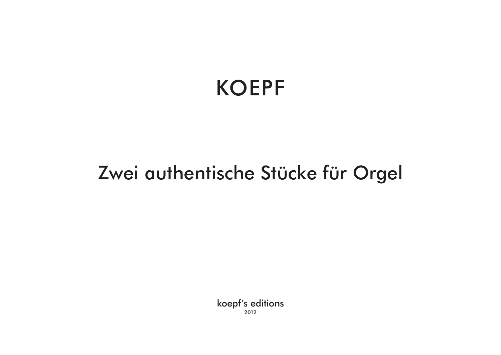# KOEPF

## Zwei authentische Stücke für Orgel

koepf's editions 2012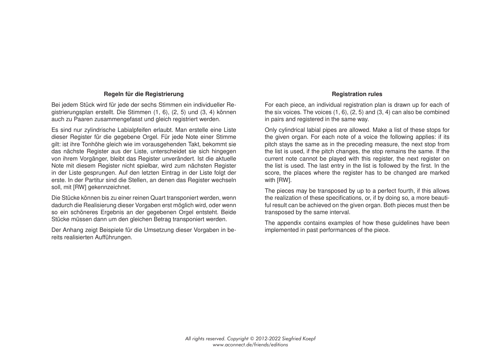#### **Regeln für die Registrierung**

Bei jedem Stück wird für jede der sechs Stimmen ein individueller Registrierungsplan erstellt. Die Stimmen (1, 6), (2, 5) und (3, 4) können auch zu Paaren zusammengefasst und gleich registriert werden.

Es sind nur zylindrische Labialpfeifen erlaubt. Man erstelle eine Liste dieser Register für die gegebene Orgel. Für jede Note einer Stimme gilt: ist ihre Tonhöhe gleich wie im vorausgehenden Takt, bekommt sie das nächste Register aus der Liste, unterscheidet sie sich hingegen von ihrem Vorgänger, bleibt das Register unverändert. Ist die aktuelle Note mit diesem Register nicht spielbar, wird zum nächsten Register in der Liste gesprungen. Auf den letzten Eintrag in der Liste folgt der erste. In der Partitur sind die Stellen, an denen das Register wechseln soll, mit [RW] gekennzeichnet.

Die Stücke können bis zu einer reinen Quart transponiert werden, wenn dadurch die Realisierung dieser Vorgaben erst möglich wird, oder wenn so ein schöneres Ergebnis an der gegebenen Orgel entsteht. Beide Stücke müssen dann um den gleichen Betrag transponiert werden.

Der Anhang zeigt Beispiele für die Umsetzung dieser Vorgaben in bereits realisierten Aufführungen.

#### **Registration rules**

For each piece, an individual registration plan is drawn up for each of the six voices. The voices (1, 6), (2, 5) and (3, 4) can also be combined in pairs and registered in the same way.

Only cylindrical labial pipes are allowed. Make a list of these stops for the given organ. For each note of a voice the following applies: if its pitch stays the same as in the preceding measure, the next stop from the list is used, if the pitch changes, the stop remains the same. If the current note cannot be played with this register, the next register on the list is used. The last entry in the list is followed by the first. In the score, the places where the register has to be changed are marked with [RW].

The pieces may be transposed by up to a perfect fourth, if this allows the realization of these specifications, or, if by doing so, a more beautiful result can be achieved on the given organ. Both pieces must then be transposed by the same interval.

The appendix contains examples of how these guidelines have been implemented in past performances of the piece.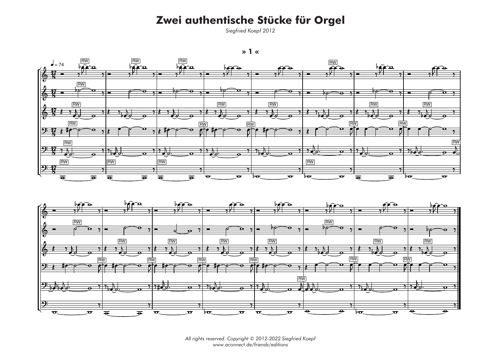## Zwei authentische Stücke für Orgel

Siegfried Koepf 2012







All rights reserved. Copyright © 2012-2022 Siegfried Koepf<br>www.aconnect.de/friends/editions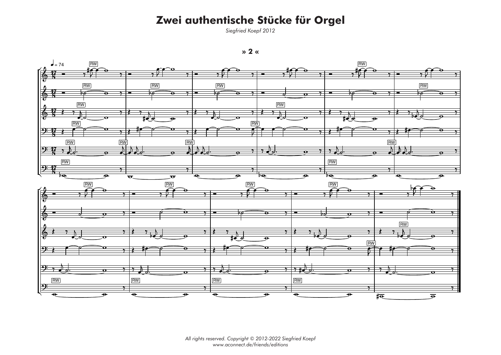## Zwei authentische Stücke für Orgel



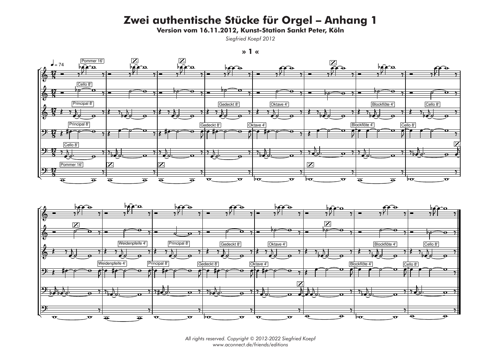Version vom 16.11.2012, Kunst-Station Sankt Peter, Köln

Siegfried Koepf 2012







All rights reserved. Copyright © 2012-2022 Siegfried Koepf www.aconnect.de/friends/editions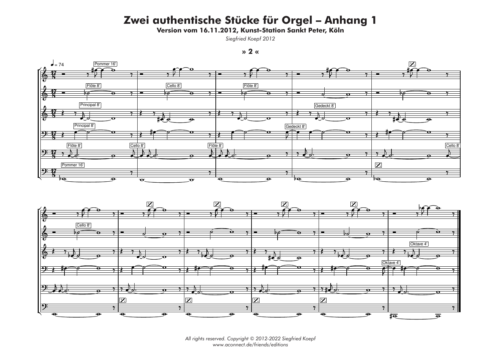Version vom 16.11.2012, Kunst-Station Sankt Peter, Köln



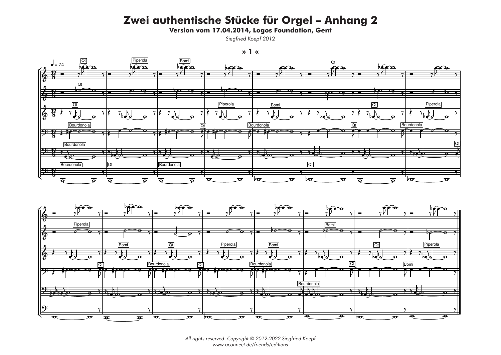Version vom 17.04.2014, Logos Foundation, Gent

```
x \sim 1
```